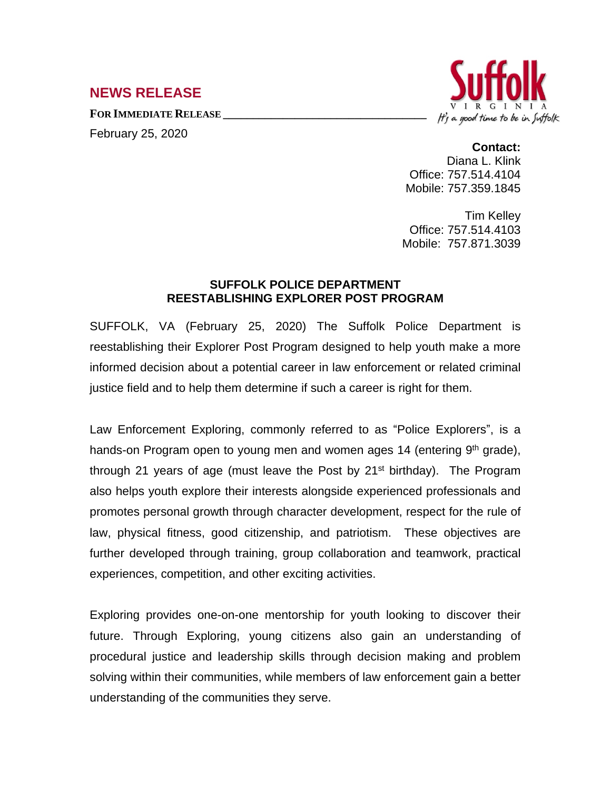## **NEWS RELEASE**

**FOR IMMEDIATE RELEASE \_\_\_\_\_\_\_\_\_\_\_\_\_\_\_\_\_\_\_\_\_\_\_\_\_\_\_\_\_\_\_\_\_\_**

February 25, 2020



**Contact:** Diana L. Klink Office: 757.514.4104 Mobile: 757.359.1845

Tim Kelley Office: 757.514.4103 Mobile: 757.871.3039

## **SUFFOLK POLICE DEPARTMENT REESTABLISHING EXPLORER POST PROGRAM**

SUFFOLK, VA (February 25, 2020) The Suffolk Police Department is reestablishing their Explorer Post Program designed to help youth make a more informed decision about a potential career in law enforcement or related criminal justice field and to help them determine if such a career is right for them.

Law Enforcement Exploring, commonly referred to as "Police Explorers", is a hands-on Program open to young men and women ages 14 (entering 9<sup>th</sup> grade), through 21 years of age (must leave the Post by 21<sup>st</sup> birthday). The Program also helps youth explore their interests alongside experienced professionals and promotes personal growth through character development, respect for the rule of law, physical fitness, good citizenship, and patriotism. These objectives are further developed through training, group collaboration and teamwork, practical experiences, competition, and other exciting activities.

Exploring provides one-on-one mentorship for youth looking to discover their future. Through Exploring, young citizens also gain an understanding of procedural justice and leadership skills through decision making and problem solving within their communities, while members of law enforcement gain a better understanding of the communities they serve.